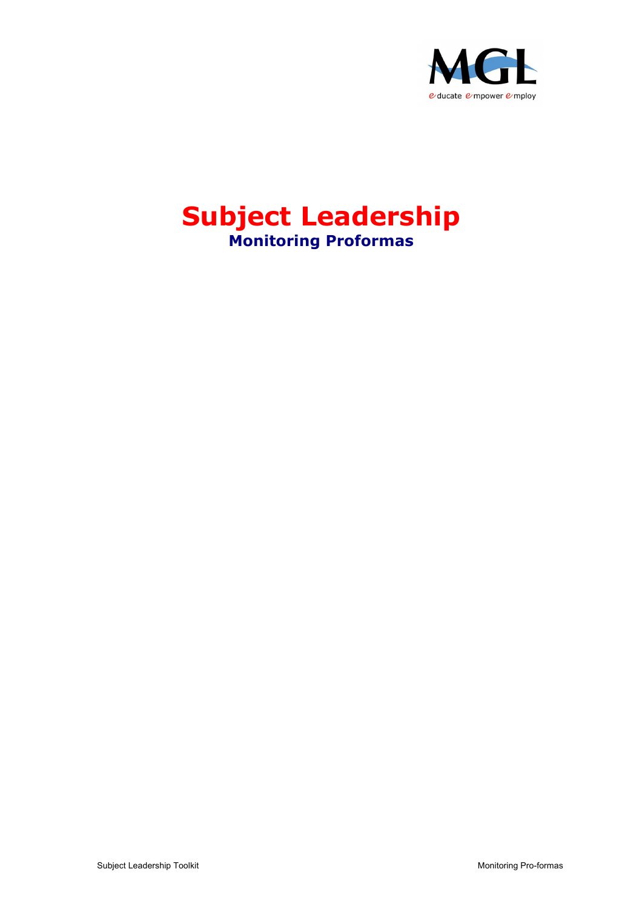

# **Subject Leadership Monitoring Proformas**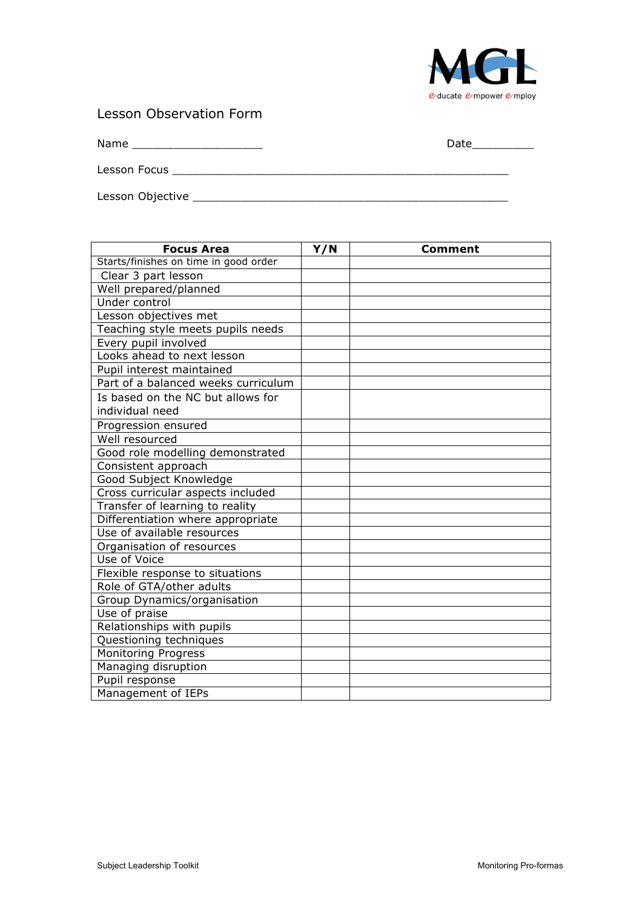

#### Lesson Observation Form

Name \_\_\_\_\_\_\_\_\_\_\_\_\_\_\_\_\_\_\_ Date\_\_\_\_\_\_\_\_\_

Lesson Objective \_\_\_\_\_\_\_\_\_\_\_\_\_\_\_\_\_\_\_\_\_\_\_\_\_\_\_\_\_\_\_\_\_\_\_\_\_\_\_\_\_\_\_\_\_\_

Lesson Focus \_\_\_\_\_\_\_\_\_\_\_\_\_\_\_\_\_\_\_\_\_\_\_\_\_\_\_\_\_\_\_\_\_\_\_\_\_\_\_\_\_\_\_\_\_\_\_\_\_

| <b>Focus Area</b>                     | Y/N | <b>Comment</b> |
|---------------------------------------|-----|----------------|
| Starts/finishes on time in good order |     |                |
| Clear 3 part lesson                   |     |                |
| Well prepared/planned                 |     |                |
| Under control                         |     |                |
| Lesson objectives met                 |     |                |
| Teaching style meets pupils needs     |     |                |
| Every pupil involved                  |     |                |
| Looks ahead to next lesson            |     |                |
| Pupil interest maintained             |     |                |
| Part of a balanced weeks curriculum   |     |                |
| Is based on the NC but allows for     |     |                |
| individual need                       |     |                |
| Progression ensured                   |     |                |
| Well resourced                        |     |                |
| Good role modelling demonstrated      |     |                |
| Consistent approach                   |     |                |
| Good Subject Knowledge                |     |                |
| Cross curricular aspects included     |     |                |
| Transfer of learning to reality       |     |                |
| Differentiation where appropriate     |     |                |
| Use of available resources            |     |                |
| Organisation of resources             |     |                |
| Use of Voice                          |     |                |
| Flexible response to situations       |     |                |
| Role of GTA/other adults              |     |                |
| Group Dynamics/organisation           |     |                |
| Use of praise                         |     |                |
| Relationships with pupils             |     |                |
| Questioning techniques                |     |                |
| <b>Monitoring Progress</b>            |     |                |
| Managing disruption                   |     |                |
| Pupil response                        |     |                |
| Management of IEPs                    |     |                |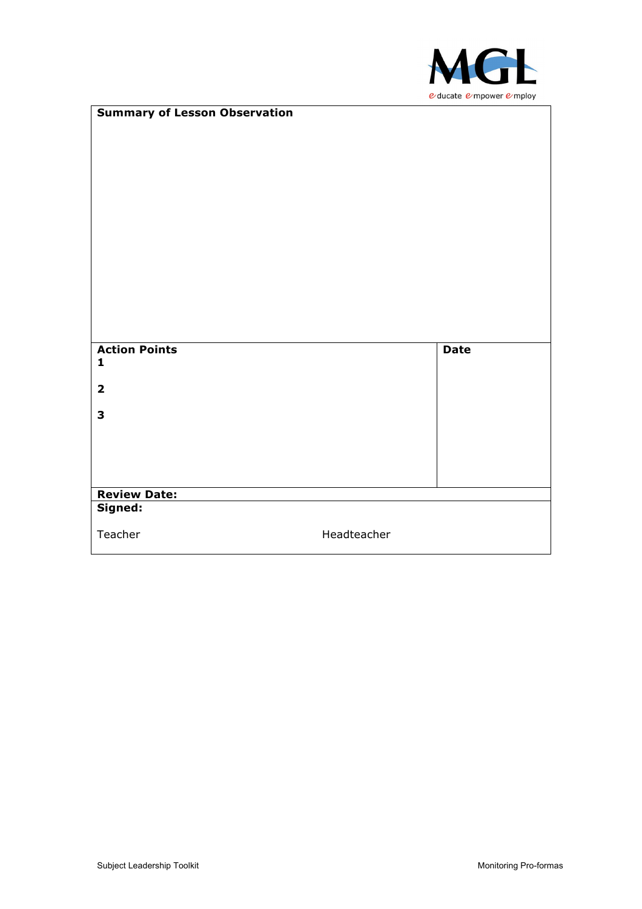

| <b>Summary of Lesson Observation</b> |             |             |
|--------------------------------------|-------------|-------------|
|                                      |             |             |
|                                      |             |             |
|                                      |             |             |
|                                      |             |             |
|                                      |             |             |
|                                      |             |             |
|                                      |             |             |
|                                      |             |             |
|                                      |             |             |
|                                      |             |             |
|                                      |             |             |
|                                      |             |             |
|                                      |             |             |
|                                      |             |             |
| <b>Action Points</b>                 |             | <b>Date</b> |
| $\mathbf{1}$                         |             |             |
| $\overline{\mathbf{2}}$              |             |             |
|                                      |             |             |
| 3                                    |             |             |
|                                      |             |             |
|                                      |             |             |
|                                      |             |             |
|                                      |             |             |
| <b>Review Date:</b>                  |             |             |
| Signed:                              |             |             |
| Teacher                              | Headteacher |             |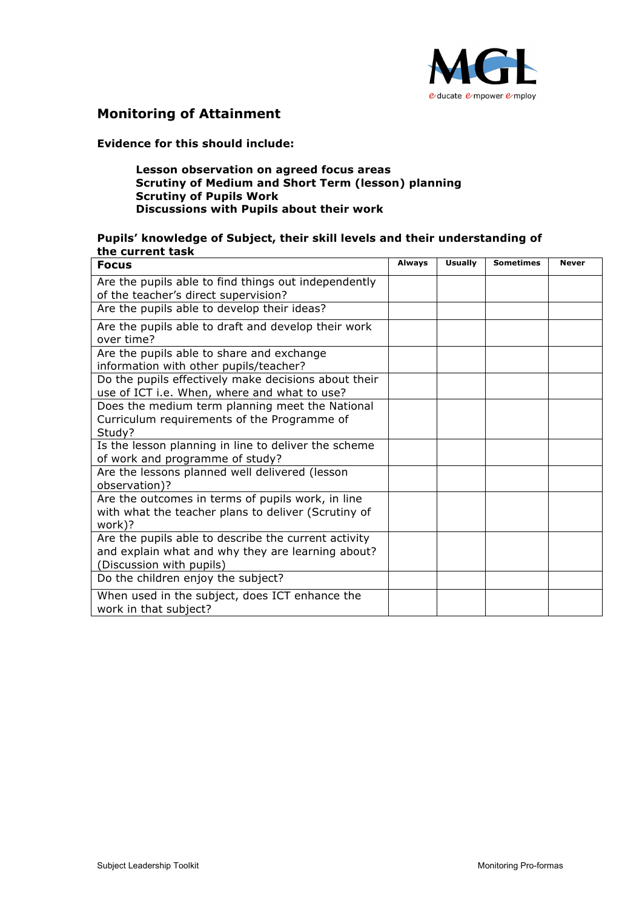

### **Monitoring of Attainment**

#### **Evidence for this should include:**

#### **Lesson observation on agreed focus areas Scrutiny of Medium and Short Term (lesson) planning Scrutiny of Pupils Work Discussions with Pupils about their work**

#### **Pupils' knowledge of Subject, their skill levels and their understanding of the current task**

| <b>Focus</b>                                                                                                                          | <b>Always</b> | <b>Usually</b> | <b>Sometimes</b> | <b>Never</b> |
|---------------------------------------------------------------------------------------------------------------------------------------|---------------|----------------|------------------|--------------|
| Are the pupils able to find things out independently                                                                                  |               |                |                  |              |
| of the teacher's direct supervision?                                                                                                  |               |                |                  |              |
| Are the pupils able to develop their ideas?                                                                                           |               |                |                  |              |
| Are the pupils able to draft and develop their work<br>over time?                                                                     |               |                |                  |              |
| Are the pupils able to share and exchange<br>information with other pupils/teacher?                                                   |               |                |                  |              |
| Do the pupils effectively make decisions about their<br>use of ICT i.e. When, where and what to use?                                  |               |                |                  |              |
| Does the medium term planning meet the National<br>Curriculum requirements of the Programme of<br>Study?                              |               |                |                  |              |
| Is the lesson planning in line to deliver the scheme<br>of work and programme of study?                                               |               |                |                  |              |
| Are the lessons planned well delivered (lesson<br>observation)?                                                                       |               |                |                  |              |
| Are the outcomes in terms of pupils work, in line<br>with what the teacher plans to deliver (Scrutiny of<br>work)?                    |               |                |                  |              |
| Are the pupils able to describe the current activity<br>and explain what and why they are learning about?<br>(Discussion with pupils) |               |                |                  |              |
| Do the children enjoy the subject?                                                                                                    |               |                |                  |              |
| When used in the subject, does ICT enhance the<br>work in that subject?                                                               |               |                |                  |              |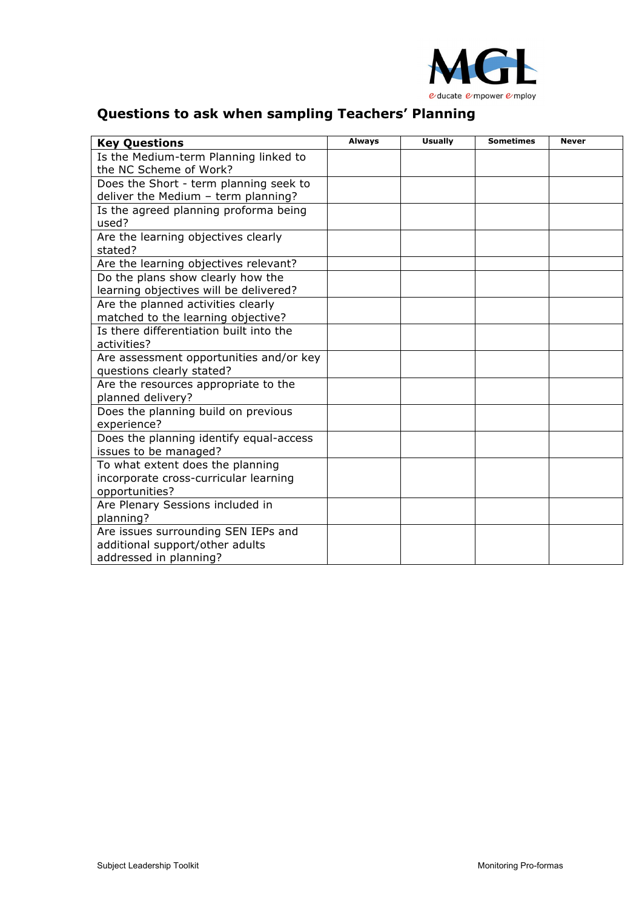

### **Questions to ask when sampling Teachers' Planning**

| <b>Key Questions</b>                    | <b>Always</b> | <b>Usually</b> | <b>Sometimes</b> | <b>Never</b> |
|-----------------------------------------|---------------|----------------|------------------|--------------|
| Is the Medium-term Planning linked to   |               |                |                  |              |
| the NC Scheme of Work?                  |               |                |                  |              |
| Does the Short - term planning seek to  |               |                |                  |              |
| deliver the Medium - term planning?     |               |                |                  |              |
| Is the agreed planning proforma being   |               |                |                  |              |
| used?                                   |               |                |                  |              |
| Are the learning objectives clearly     |               |                |                  |              |
| stated?                                 |               |                |                  |              |
| Are the learning objectives relevant?   |               |                |                  |              |
| Do the plans show clearly how the       |               |                |                  |              |
| learning objectives will be delivered?  |               |                |                  |              |
| Are the planned activities clearly      |               |                |                  |              |
| matched to the learning objective?      |               |                |                  |              |
| Is there differentiation built into the |               |                |                  |              |
| activities?                             |               |                |                  |              |
| Are assessment opportunities and/or key |               |                |                  |              |
| questions clearly stated?               |               |                |                  |              |
| Are the resources appropriate to the    |               |                |                  |              |
| planned delivery?                       |               |                |                  |              |
| Does the planning build on previous     |               |                |                  |              |
| experience?                             |               |                |                  |              |
| Does the planning identify equal-access |               |                |                  |              |
| issues to be managed?                   |               |                |                  |              |
| To what extent does the planning        |               |                |                  |              |
| incorporate cross-curricular learning   |               |                |                  |              |
| opportunities?                          |               |                |                  |              |
| Are Plenary Sessions included in        |               |                |                  |              |
| planning?                               |               |                |                  |              |
| Are issues surrounding SEN IEPs and     |               |                |                  |              |
| additional support/other adults         |               |                |                  |              |
| addressed in planning?                  |               |                |                  |              |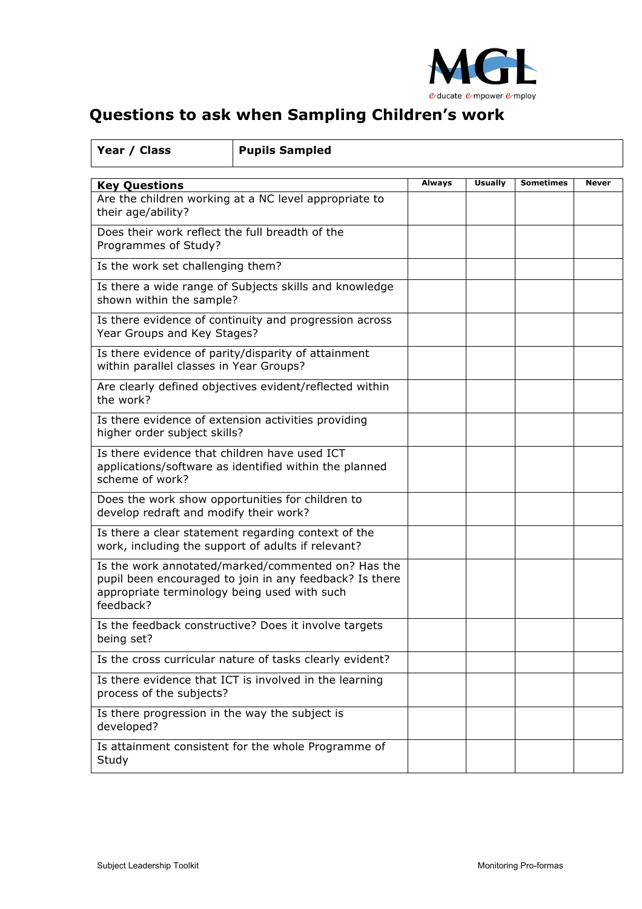

## **Questions to ask when Sampling Children's work**

| Year / Class                                                                                                                                                               | <b>Pupils Sampled</b>                                   |        |                |                  |       |
|----------------------------------------------------------------------------------------------------------------------------------------------------------------------------|---------------------------------------------------------|--------|----------------|------------------|-------|
| <b>Key Questions</b>                                                                                                                                                       |                                                         | Always | <b>Usually</b> | <b>Sometimes</b> | Never |
| Are the children working at a NC level appropriate to<br>their age/ability?                                                                                                |                                                         |        |                |                  |       |
| Does their work reflect the full breadth of the<br>Programmes of Study?                                                                                                    |                                                         |        |                |                  |       |
| Is the work set challenging them?                                                                                                                                          |                                                         |        |                |                  |       |
| shown within the sample?                                                                                                                                                   | Is there a wide range of Subjects skills and knowledge  |        |                |                  |       |
| Year Groups and Key Stages?                                                                                                                                                | Is there evidence of continuity and progression across  |        |                |                  |       |
| within parallel classes in Year Groups?                                                                                                                                    | Is there evidence of parity/disparity of attainment     |        |                |                  |       |
| the work?                                                                                                                                                                  | Are clearly defined objectives evident/reflected within |        |                |                  |       |
| Is there evidence of extension activities providing<br>higher order subject skills?                                                                                        |                                                         |        |                |                  |       |
| Is there evidence that children have used ICT<br>applications/software as identified within the planned<br>scheme of work?                                                 |                                                         |        |                |                  |       |
| Does the work show opportunities for children to<br>develop redraft and modify their work?                                                                                 |                                                         |        |                |                  |       |
| Is there a clear statement regarding context of the<br>work, including the support of adults if relevant?                                                                  |                                                         |        |                |                  |       |
| Is the work annotated/marked/commented on? Has the<br>pupil been encouraged to join in any feedback? Is there<br>appropriate terminology being used with such<br>feedback? |                                                         |        |                |                  |       |
| Is the feedback constructive? Does it involve targets<br>being set?                                                                                                        |                                                         |        |                |                  |       |
| Is the cross curricular nature of tasks clearly evident?                                                                                                                   |                                                         |        |                |                  |       |
| Is there evidence that ICT is involved in the learning<br>process of the subjects?                                                                                         |                                                         |        |                |                  |       |
| Is there progression in the way the subject is<br>developed?                                                                                                               |                                                         |        |                |                  |       |
| Is attainment consistent for the whole Programme of<br>Study                                                                                                               |                                                         |        |                |                  |       |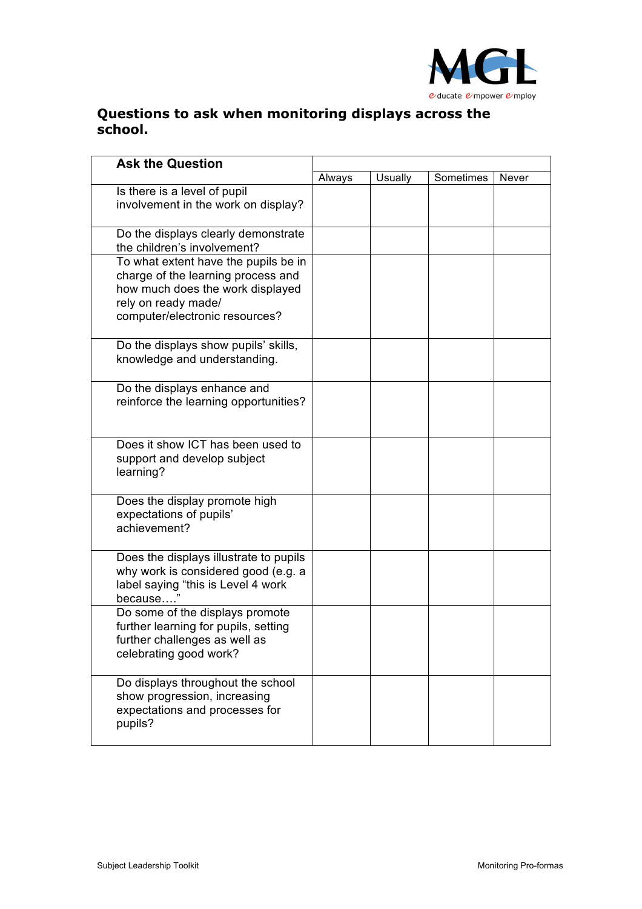

### **Questions to ask when monitoring displays across the school.**

| <b>Ask the Question</b>                                                                                                                                                 |        |         |           |       |
|-------------------------------------------------------------------------------------------------------------------------------------------------------------------------|--------|---------|-----------|-------|
|                                                                                                                                                                         | Always | Usually | Sometimes | Never |
| Is there is a level of pupil<br>involvement in the work on display?                                                                                                     |        |         |           |       |
| Do the displays clearly demonstrate<br>the children's involvement?                                                                                                      |        |         |           |       |
| To what extent have the pupils be in<br>charge of the learning process and<br>how much does the work displayed<br>rely on ready made/<br>computer/electronic resources? |        |         |           |       |
| Do the displays show pupils' skills,<br>knowledge and understanding.                                                                                                    |        |         |           |       |
| Do the displays enhance and<br>reinforce the learning opportunities?                                                                                                    |        |         |           |       |
| Does it show ICT has been used to<br>support and develop subject<br>learning?                                                                                           |        |         |           |       |
| Does the display promote high<br>expectations of pupils'<br>achievement?                                                                                                |        |         |           |       |
| Does the displays illustrate to pupils<br>why work is considered good (e.g. a<br>label saying "this is Level 4 work<br>because                                          |        |         |           |       |
| Do some of the displays promote<br>further learning for pupils, setting<br>further challenges as well as<br>celebrating good work?                                      |        |         |           |       |
| Do displays throughout the school<br>show progression, increasing<br>expectations and processes for<br>pupils?                                                          |        |         |           |       |